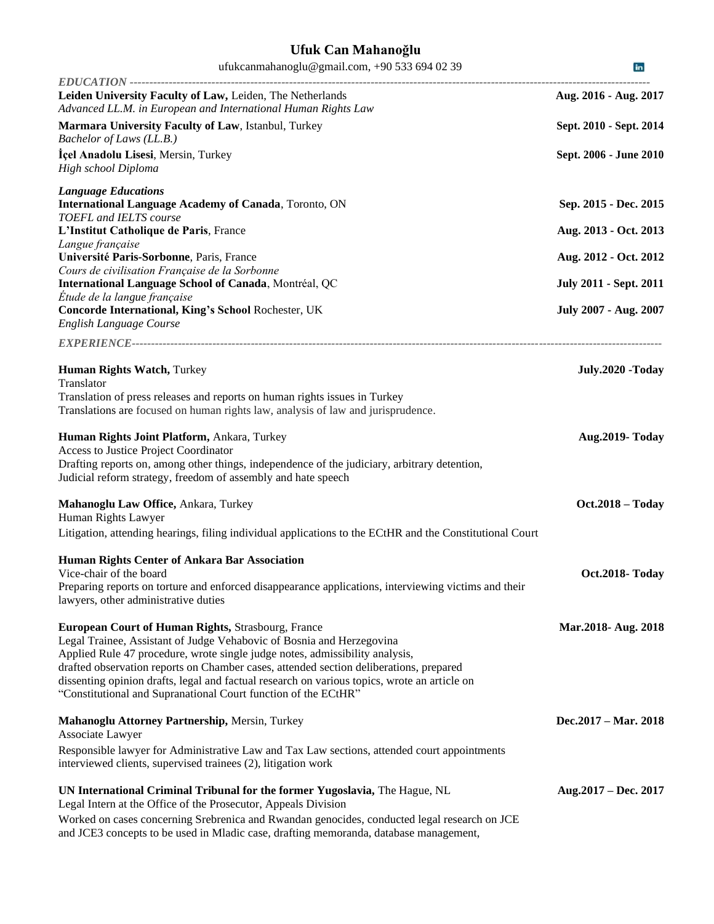## **Ufuk Can Mahanoğlu**

| ufukcanmahanoglu@gmail.com, +90 533 694 02 39                                                                                                                                                                                                                                                                                                                                                                                                                           | in.                           |
|-------------------------------------------------------------------------------------------------------------------------------------------------------------------------------------------------------------------------------------------------------------------------------------------------------------------------------------------------------------------------------------------------------------------------------------------------------------------------|-------------------------------|
| Leiden University Faculty of Law, Leiden, The Netherlands<br>Advanced LL.M. in European and International Human Rights Law                                                                                                                                                                                                                                                                                                                                              | Aug. 2016 - Aug. 2017         |
| Marmara University Faculty of Law, Istanbul, Turkey<br>Bachelor of Laws (LL.B.)                                                                                                                                                                                                                                                                                                                                                                                         | Sept. 2010 - Sept. 2014       |
| Içel Anadolu Lisesi, Mersin, Turkey<br>High school Diploma                                                                                                                                                                                                                                                                                                                                                                                                              | Sept. 2006 - June 2010        |
| <b>Language Educations</b><br><b>International Language Academy of Canada, Toronto, ON</b>                                                                                                                                                                                                                                                                                                                                                                              | Sep. 2015 - Dec. 2015         |
| TOEFL and IELTS course<br>L'Institut Catholique de Paris, France                                                                                                                                                                                                                                                                                                                                                                                                        | Aug. 2013 - Oct. 2013         |
| Langue française<br>Université Paris-Sorbonne, Paris, France                                                                                                                                                                                                                                                                                                                                                                                                            | Aug. 2012 - Oct. 2012         |
| Cours de civilisation Française de la Sorbonne<br>International Language School of Canada, Montréal, QC                                                                                                                                                                                                                                                                                                                                                                 | <b>July 2011 - Sept. 2011</b> |
| Étude de la langue française<br>Concorde International, King's School Rochester, UK<br>English Language Course                                                                                                                                                                                                                                                                                                                                                          | July 2007 - Aug. 2007         |
|                                                                                                                                                                                                                                                                                                                                                                                                                                                                         |                               |
| Human Rights Watch, Turkey<br>Translator                                                                                                                                                                                                                                                                                                                                                                                                                                | July.2020 -Today              |
| Translation of press releases and reports on human rights issues in Turkey<br>Translations are focused on human rights law, analysis of law and jurisprudence.                                                                                                                                                                                                                                                                                                          |                               |
| Human Rights Joint Platform, Ankara, Turkey<br>Access to Justice Project Coordinator<br>Drafting reports on, among other things, independence of the judiciary, arbitrary detention,<br>Judicial reform strategy, freedom of assembly and hate speech                                                                                                                                                                                                                   | <b>Aug.2019- Today</b>        |
| Mahanoglu Law Office, Ankara, Turkey<br>Human Rights Lawyer                                                                                                                                                                                                                                                                                                                                                                                                             | <b>Oct.2018 - Today</b>       |
| Litigation, attending hearings, filing individual applications to the ECtHR and the Constitutional Court                                                                                                                                                                                                                                                                                                                                                                |                               |
| Human Rights Center of Ankara Bar Association<br>Vice-chair of the board<br>Preparing reports on torture and enforced disappearance applications, interviewing victims and their<br>lawyers, other administrative duties                                                                                                                                                                                                                                                | Oct.2018- Today               |
| European Court of Human Rights, Strasbourg, France<br>Legal Trainee, Assistant of Judge Vehabovic of Bosnia and Herzegovina<br>Applied Rule 47 procedure, wrote single judge notes, admissibility analysis,<br>drafted observation reports on Chamber cases, attended section deliberations, prepared<br>dissenting opinion drafts, legal and factual research on various topics, wrote an article on<br>"Constitutional and Supranational Court function of the ECtHR" | Mar.2018- Aug. 2018           |
| Mahanoglu Attorney Partnership, Mersin, Turkey<br>Associate Lawyer                                                                                                                                                                                                                                                                                                                                                                                                      | Dec.2017 – Mar. 2018          |
| Responsible lawyer for Administrative Law and Tax Law sections, attended court appointments<br>interviewed clients, supervised trainees (2), litigation work                                                                                                                                                                                                                                                                                                            |                               |
| UN International Criminal Tribunal for the former Yugoslavia, The Hague, NL<br>Legal Intern at the Office of the Prosecutor, Appeals Division<br>Worked on cases concerning Srebrenica and Rwandan genocides, conducted legal research on JCE<br>and JCE3 concepts to be used in Mladic case, drafting memoranda, database management,                                                                                                                                  | Aug.2017 – Dec. 2017          |